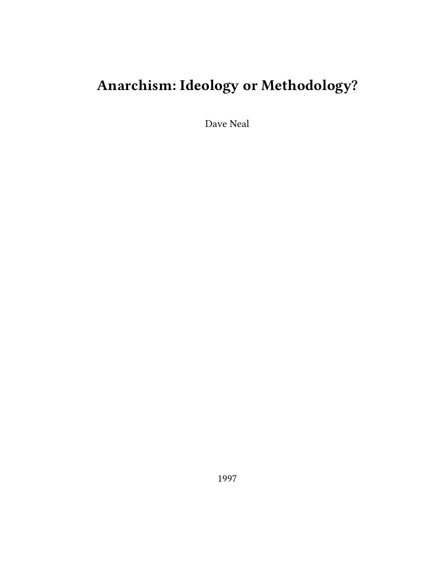# **Anarchism: Ideology or Methodology?**

Dave Neal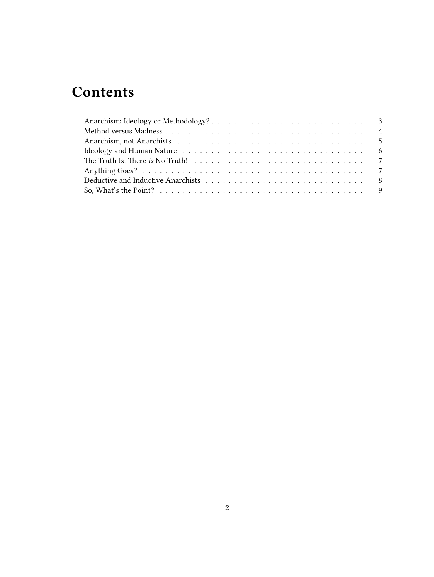# **Contents**

| The Truth Is: There Is No Truth! $\ldots \ldots \ldots \ldots \ldots \ldots \ldots \ldots \ldots \ldots \ldots$ |  |  |  |  |  |
|-----------------------------------------------------------------------------------------------------------------|--|--|--|--|--|
|                                                                                                                 |  |  |  |  |  |
|                                                                                                                 |  |  |  |  |  |
|                                                                                                                 |  |  |  |  |  |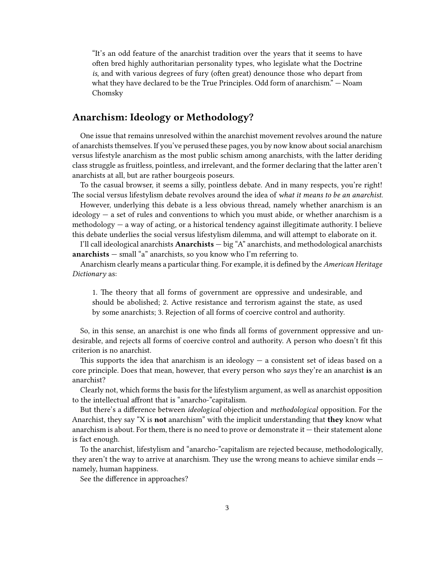"It's an odd feature of the anarchist tradition over the years that it seems to have often bred highly authoritarian personality types, who legislate what the Doctrine *is*, and with various degrees of fury (often great) denounce those who depart from what they have declared to be the True Principles. Odd form of anarchism." — Noam Chomsky

# <span id="page-2-0"></span>**Anarchism: Ideology or Methodology?**

One issue that remains unresolved within the anarchist movement revolves around the nature of anarchists themselves. If you've perused these pages, you by now know about social anarchism versus lifestyle anarchism as the most public schism among anarchists, with the latter deriding class struggle as fruitless, pointless, and irrelevant, and the former declaring that the latter aren't anarchists at all, but are rather bourgeois poseurs.

To the casual browser, it seems a silly, pointless debate. And in many respects, you're right! The social versus lifestylism debate revolves around the idea of *what it means to be an anarchist*.

However, underlying this debate is a less obvious thread, namely whether anarchism is an  $ideology - a set of rules and conventions to which you must abide, or whether an archism is a$ methodology — a way of acting, or a historical tendency against illegitimate authority. I believe this debate underlies the social versus lifestylism dilemma, and will attempt to elaborate on it.

I'll call ideological anarchists **Anarchists** — big "A" anarchists, and methodological anarchists **anarchists** — small "a" anarchists, so you know who I'm referring to.

Anarchism clearly means a particular thing. For example, it is defined by the *American Heritage Dictionary* as:

1. The theory that all forms of government are oppressive and undesirable, and should be abolished; 2. Active resistance and terrorism against the state, as used by some anarchists; 3. Rejection of all forms of coercive control and authority.

So, in this sense, an anarchist is one who finds all forms of government oppressive and undesirable, and rejects all forms of coercive control and authority. A person who doesn't fit this criterion is no anarchist.

This supports the idea that anarchism is an ideology  $-$  a consistent set of ideas based on a core principle. Does that mean, however, that every person who *says* they're an anarchist **is** an anarchist?

Clearly not, which forms the basis for the lifestylism argument, as well as anarchist opposition to the intellectual affront that is "anarcho-"capitalism.

But there's a difference between *ideological* objection and *methodological* opposition. For the Anarchist, they say "X is **not** anarchism" with the implicit understanding that **they** know what anarchism is about. For them, there is no need to prove or demonstrate it — their statement alone is fact enough.

To the anarchist, lifestylism and "anarcho-"capitalism are rejected because, methodologically, they aren't the way to arrive at anarchism. They use the wrong means to achieve similar ends namely, human happiness.

See the difference in approaches?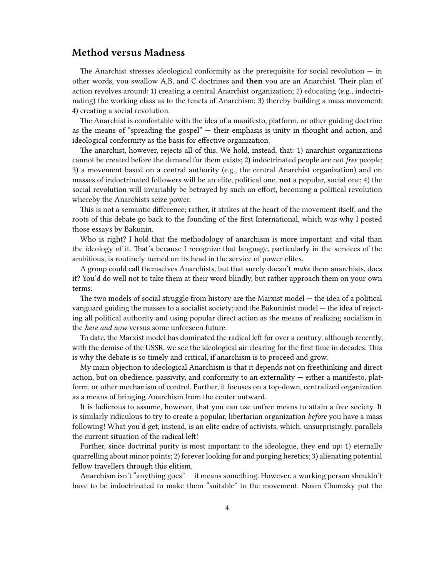#### <span id="page-3-0"></span>**Method versus Madness**

The Anarchist stresses ideological conformity as the prerequisite for social revolution  $-$  in other words, you swallow A,B, and C doctrines and **then** you are an Anarchist. Their plan of action revolves around: 1) creating a central Anarchist organization; 2) educating (e.g., indoctrinating) the working class as to the tenets of Anarchism; 3) thereby building a mass movement; 4) creating a social revolution.

The Anarchist is comfortable with the idea of a manifesto, platform, or other guiding doctrine as the means of "spreading the gospel" — their emphasis is unity in thought and action, and ideological conformity as the basis for effective organization.

The anarchist, however, rejects all of this. We hold, instead, that: 1) anarchist organizations cannot be created before the demand for them exists; 2) indoctrinated people are not *free* people; 3) a movement based on a central authority (e.g., the central Anarchist organization) and on masses of indoctrinated followers will be an elite, political one, **not** a popular, social one; 4) the social revolution will invariably be betrayed by such an effort, becoming a political revolution whereby the Anarchists seize power.

This is not a semantic difference; rather, it strikes at the heart of the movement itself, and the roots of this debate go back to the founding of the first International, which was why I posted those essays by Bakunin.

Who is right? I hold that the methodology of anarchism is more important and vital than the ideology of it. That's because I recognize that language, particularly in the services of the ambitious, is routinely turned on its head in the service of power elites.

A group could call themselves Anarchists, but that surely doesn't *make* them anarchists, does it? You'd do well not to take them at their word blindly, but rather approach them on your own terms.

The two models of social struggle from history are the Marxist model — the idea of a political vanguard guiding the masses to a socialist society; and the Bakuninist model — the idea of rejecting all political authority and using popular direct action as the means of realizing socialism in the *here and now* versus some unforseen future.

To date, the Marxist model has dominated the radical left for over a century, although recently, with the demise of the USSR, we see the ideological air clearing for the first time in decades. This is why the debate is so timely and critical, if anarchism is to proceed and grow.

My main objection to ideological Anarchism is that it depends not on freethinking and direct action, but on obedience, passivity, and conformity to an externality — either a manifesto, platform, or other mechanism of control. Further, it focuses on a top-down, centralized organization as a means of bringing Anarchism from the center outward.

It is ludicrous to assume, however, that you can use unfree means to attain a free society. It is similarly ridiculous to try to create a popular, libertarian organization *before* you have a mass following! What you'd get, instead, is an elite cadre of activists, which, unsurprisingly, parallels the current situation of the radical left!

Further, since doctrinal purity is most important to the ideologue, they end up: 1) eternally quarrelling about minor points; 2) forever looking for and purging heretics; 3) alienating potential fellow travellers through this elitism.

Anarchism isn't "anything goes" — it means something. However, a working person shouldn't have to be indoctrinated to make them "suitable" to the movement. Noam Chomsky put the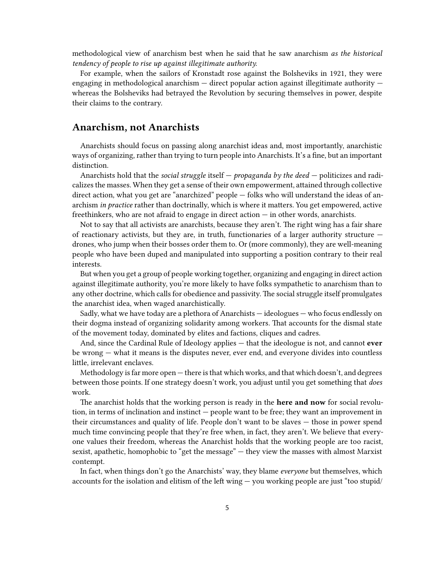methodological view of anarchism best when he said that he saw anarchism *as the historical tendency of people to rise up against illegitimate authority.*

For example, when the sailors of Kronstadt rose against the Bolsheviks in 1921, they were engaging in methodological anarchism — direct popular action against illegitimate authority whereas the Bolsheviks had betrayed the Revolution by securing themselves in power, despite their claims to the contrary.

#### <span id="page-4-0"></span>**Anarchism, not Anarchists**

Anarchists should focus on passing along anarchist ideas and, most importantly, anarchistic ways of organizing, rather than trying to turn people into Anarchists. It's a fine, but an important distinction.

Anarchists hold that the *social struggle* itself — *propaganda by the deed* — politicizes and radicalizes the masses. When they get a sense of their own empowerment, attained through collective direct action, what you get are "anarchized" people — folks who will understand the ideas of anarchism *in practice* rather than doctrinally, which is where it matters. You get empowered, active freethinkers, who are not afraid to engage in direct action — in other words, anarchists.

Not to say that all activists are anarchists, because they aren't. The right wing has a fair share of reactionary activists, but they are, in truth, functionaries of a larger authority structure  $$ drones, who jump when their bosses order them to. Or (more commonly), they are well-meaning people who have been duped and manipulated into supporting a position contrary to their real interests.

But when you get a group of people working together, organizing and engaging in direct action against illegitimate authority, you're more likely to have folks sympathetic to anarchism than to any other doctrine, which calls for obedience and passivity. The social struggle itself promulgates the anarchist idea, when waged anarchistically.

Sadly, what we have today are a plethora of Anarchists — ideologues — who focus endlessly on their dogma instead of organizing solidarity among workers. That accounts for the dismal state of the movement today, dominated by elites and factions, cliques and cadres.

And, since the Cardinal Rule of Ideology applies — that the ideologue is not, and cannot **ever** be wrong — what it means is the disputes never, ever end, and everyone divides into countless little, irrelevant enclaves.

Methodology is far more open — there is that which works, and that which doesn't, and degrees between those points. If one strategy doesn't work, you adjust until you get something that *does* work.

The anarchist holds that the working person is ready in the **here and now** for social revolution, in terms of inclination and instinct — people want to be free; they want an improvement in their circumstances and quality of life. People don't want to be slaves — those in power spend much time convincing people that they're free when, in fact, they aren't. We believe that everyone values their freedom, whereas the Anarchist holds that the working people are too racist, sexist, apathetic, homophobic to "get the message" — they view the masses with almost Marxist contempt.

In fact, when things don't go the Anarchists' way, they blame *everyone* but themselves, which accounts for the isolation and elitism of the left wing — you working people are just "too stupid/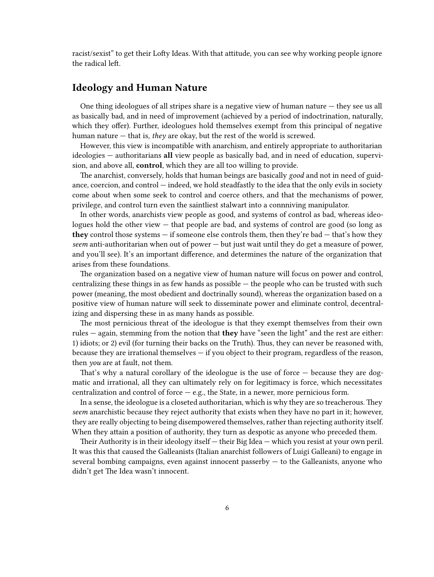racist/sexist" to get their Lofty Ideas. With that attitude, you can see why working people ignore the radical left.

### <span id="page-5-0"></span>**Ideology and Human Nature**

One thing ideologues of all stripes share is a negative view of human nature — they see us all as basically bad, and in need of improvement (achieved by a period of indoctrination, naturally, which they offer). Further, ideologues hold themselves exempt from this principal of negative human nature — that is, *they* are okay, but the rest of the world is screwed.

However, this view is incompatible with anarchism, and entirely appropriate to authoritarian ideologies — authoritarians **all** view people as basically bad, and in need of education, supervision, and above all, **control**, which they are all too willing to provide.

The anarchist, conversely, holds that human beings are basically *good* and not in need of guidance, coercion, and control — indeed, we hold steadfastly to the idea that the only evils in society come about when some seek to control and coerce others, and that the mechanisms of power, privilege, and control turn even the saintliest stalwart into a connniving manipulator.

In other words, anarchists view people as good, and systems of control as bad, whereas ideologues hold the other view — that people are bad, and systems of control are good (so long as **they** control those systems — if someone else controls them, then they're bad — that's how they *seem* anti-authoritarian when out of power — but just wait until they do get a measure of power, and you'll see). It's an important difference, and determines the nature of the organization that arises from these foundations.

The organization based on a negative view of human nature will focus on power and control, centralizing these things in as few hands as possible — the people who can be trusted with such power (meaning, the most obedient and doctrinally sound), whereas the organization based on a positive view of human nature will seek to disseminate power and eliminate control, decentralizing and dispersing these in as many hands as possible.

The most pernicious threat of the ideologue is that they exempt themselves from their own rules — again, stemming from the notion that **they** have "seen the light" and the rest are either: 1) idiots; or 2) evil (for turning their backs on the Truth). Thus, they can never be reasoned with, because they are irrational themselves — if you object to their program, regardless of the reason, then *you* are at fault, not them.

That's why a natural corollary of the ideologue is the use of force — because they are dogmatic and irrational, all they can ultimately rely on for legitimacy is force, which necessitates centralization and control of force  $-$  e.g., the State, in a newer, more pernicious form.

In a sense, the ideologue is a closeted authoritarian, which is why they are so treacherous. They *seem* anarchistic because they reject authority that exists when they have no part in it; however, they are really objecting to being disempowered themselves, rather than rejecting authority itself. When they attain a position of authority, they turn as despotic as anyone who preceded them.

Their Authority is in their ideology itself — their Big Idea — which you resist at your own peril. It was this that caused the Galleanists (Italian anarchist followers of Luigi Galleani) to engage in several bombing campaigns, even against innocent passerby  $-$  to the Galleanists, anyone who didn't get The Idea wasn't innocent.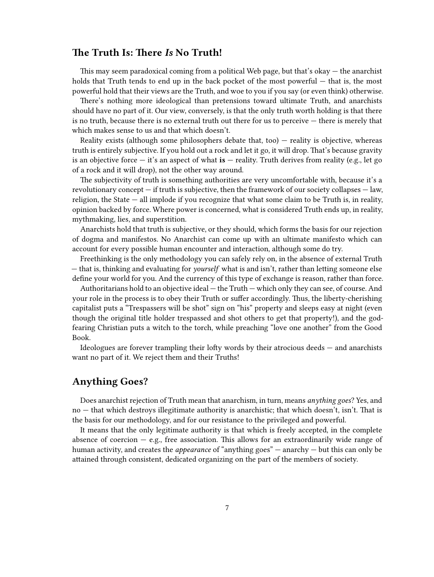# <span id="page-6-0"></span>**The Truth Is: There** *Is* **No Truth!**

This may seem paradoxical coming from a political Web page, but that's okay  $-$  the anarchist holds that Truth tends to end up in the back pocket of the most powerful – that is, the most powerful hold that their views are the Truth, and woe to you if you say (or even think) otherwise.

There's nothing more ideological than pretensions toward ultimate Truth, and anarchists should have no part of it. Our view, conversely, is that the only truth worth holding is that there is no truth, because there is no external truth out there for us to perceive — there is merely that which makes sense to us and that which doesn't.

Reality exists (although some philosophers debate that, too)  $-$  reality is objective, whereas truth is entirely subjective. If you hold out a rock and let it go, it will drop. That's because gravity is an objective force — it's an aspect of what **is** — reality. Truth derives from reality (e.g., let go of a rock and it will drop), not the other way around.

The subjectivity of truth is something authorities are very uncomfortable with, because it's a revolutionary concept  $-$  if truth is subjective, then the framework of our society collapses  $-$  law, religion, the State — all implode if you recognize that what some claim to be Truth is, in reality, opinion backed by force. Where power is concerned, what is considered Truth ends up, in reality, mythmaking, lies, and superstition.

Anarchists hold that truth is subjective, or they should, which forms the basis for our rejection of dogma and manifestos. No Anarchist can come up with an ultimate manifesto which can account for every possible human encounter and interaction, although some do try.

Freethinking is the only methodology you can safely rely on, in the absence of external Truth — that is, thinking and evaluating for *yourself* what is and isn't, rather than letting someone else define your world for you. And the currency of this type of exchange is reason, rather than force.

Authoritarians hold to an objective ideal — the Truth — which only they can see, of course. And your role in the process is to obey their Truth or suffer accordingly. Thus, the liberty-cherishing capitalist puts a "Trespassers will be shot" sign on "his" property and sleeps easy at night (even though the original title holder trespassed and shot others to get that property!), and the godfearing Christian puts a witch to the torch, while preaching "love one another" from the Good Book.

Ideologues are forever trampling their lofty words by their atrocious deeds — and anarchists want no part of it. We reject them and their Truths!

# <span id="page-6-1"></span>**Anything Goes?**

Does anarchist rejection of Truth mean that anarchism, in turn, means *anything goes*? Yes, and no — that which destroys illegitimate authority is anarchistic; that which doesn't, isn't. That is the basis for our methodology, and for our resistance to the privileged and powerful.

It means that the only legitimate authority is that which is freely accepted, in the complete absence of coercion  $-$  e.g., free association. This allows for an extraordinarily wide range of human activity, and creates the *appearance* of "anything goes" — anarchy — but this can only be attained through consistent, dedicated organizing on the part of the members of society.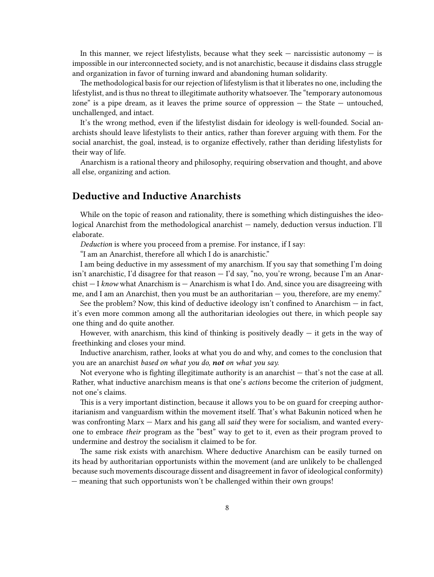In this manner, we reject lifestylists, because what they seek  $-$  narcissistic autonomy  $-$  is impossible in our interconnected society, and is not anarchistic, because it disdains class struggle and organization in favor of turning inward and abandoning human solidarity.

The methodological basis for our rejection of lifestylism is that it liberates no one, including the lifestylist, and is thus no threat to illegitimate authority whatsoever. The "temporary autonomous zone" is a pipe dream, as it leaves the prime source of oppression — the State — untouched, unchallenged, and intact.

It's the wrong method, even if the lifestylist disdain for ideology is well-founded. Social anarchists should leave lifestylists to their antics, rather than forever arguing with them. For the social anarchist, the goal, instead, is to organize effectively, rather than deriding lifestylists for their way of life.

Anarchism is a rational theory and philosophy, requiring observation and thought, and above all else, organizing and action.

#### <span id="page-7-0"></span>**Deductive and Inductive Anarchists**

While on the topic of reason and rationality, there is something which distinguishes the ideological Anarchist from the methodological anarchist — namely, deduction versus induction. I'll elaborate.

*Deduction* is where you proceed from a premise. For instance, if I say:

"I am an Anarchist, therefore all which I do is anarchistic."

I am being deductive in my assessment of my anarchism. If you say that something I'm doing isn't anarchistic, I'd disagree for that reason — I'd say, "no, you're wrong, because I'm an Anarchist — I *know* what Anarchism is — Anarchism is what I do. And, since you are disagreeing with me, and I am an Anarchist, then you must be an authoritarian — you, therefore, are my enemy."

See the problem? Now, this kind of deductive ideology isn't confined to Anarchism — in fact, it's even more common among all the authoritarian ideologies out there, in which people say one thing and do quite another.

However, with anarchism, this kind of thinking is positively deadly  $-$  it gets in the way of freethinking and closes your mind.

Inductive anarchism, rather, looks at what you do and why, and comes to the conclusion that you are an anarchist *based on what you do, not on what you say.*

Not everyone who is fighting illegitimate authority is an anarchist — that's not the case at all. Rather, what inductive anarchism means is that one's *actions* become the criterion of judgment, not one's claims.

This is a very important distinction, because it allows you to be on guard for creeping authoritarianism and vanguardism within the movement itself. That's what Bakunin noticed when he was confronting Marx — Marx and his gang all *said* they were for socialism, and wanted everyone to embrace *their* program as the "best" way to get to it, even as their program proved to undermine and destroy the socialism it claimed to be for.

The same risk exists with anarchism. Where deductive Anarchism can be easily turned on its head by authoritarian opportunists within the movement (and are unlikely to be challenged because such movements discourage dissent and disagreement in favor of ideological conformity) — meaning that such opportunists won't be challenged within their own groups!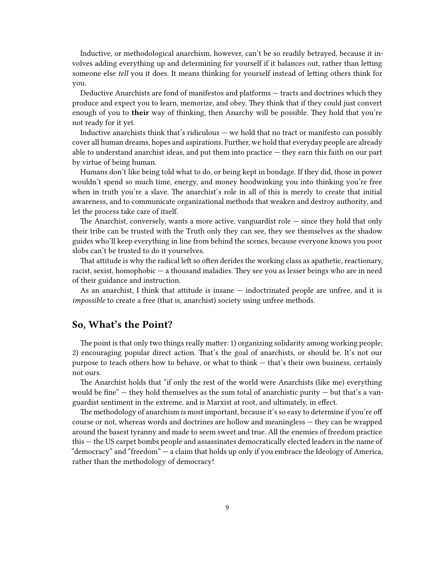Inductive, or methodological anarchism, however, can't be so readily betrayed, because it involves adding everything up and determining for yourself if it balances out, rather than letting someone else *tell* you it does. It means thinking for yourself instead of letting others think for you.

Deductive Anarchists are fond of manifestos and platforms — tracts and doctrines which they produce and expect you to learn, memorize, and obey. They think that if they could just convert enough of you to **their** way of thinking, then Anarchy will be possible. They hold that you're not ready for it yet.

Inductive anarchists think that's ridiculous — we hold that no tract or manifesto can possibly cover all human dreams, hopes and aspirations. Further, we hold that everyday people are already able to understand anarchist ideas, and put them into practice — they earn this faith on our part by virtue of being human.

Humans don't like being told what to do, or being kept in bondage. If they did, those in power wouldn't spend so much time, energy, and money hoodwinking you into thinking you're free when in truth you're a slave. The anarchist's role in all of this is merely to create that initial awareness, and to communicate organizational methods that weaken and destroy authority, and let the process take care of itself.

The Anarchist, conversely, wants a more active, vanguardist role  $-$  since they hold that only their tribe can be trusted with the Truth only they can see, they see themselves as the shadow guides who'll keep everything in line from behind the scenes, because everyone knows you poor slobs can't be trusted to do it yourselves.

That attitude is why the radical left so often derides the working class as apathetic, reactionary, racist, sexist, homophobic — a thousand maladies. They see you as lesser beings who are in need of their guidance and instruction.

As an anarchist, I think that attitude is insane — indoctrinated people are unfree, and it is *impossible* to create a free (that is, anarchist) society using unfree methods.

#### <span id="page-8-0"></span>**So, What's the Point?**

The point is that only two things really matter: 1) organizing solidarity among working people; 2) encouraging popular direct action. That's the goal of anarchists, or should be. It's not our purpose to teach others how to behave, or what to think — that's their own business, certainly not ours.

The Anarchist holds that "if only the rest of the world were Anarchists (like me) everything would be fine"  $-$  they hold themselves as the sum total of anarchistic purity  $-$  but that's a vanguardist sentiment in the extreme, and is Marxist at root, and ultimately, in effect.

The methodology of anarchism is most important, because it's so easy to determine if you're off course or not, whereas words and doctrines are hollow and meaningless — they can be wrapped around the basest tyranny and made to seem sweet and true. All the enemies of freedom practice this — the US carpet bombs people and assassinates democratically elected leaders in the name of "democracy" and "freedom" — a claim that holds up only if you embrace the Ideology of America, rather than the methodology of democracy!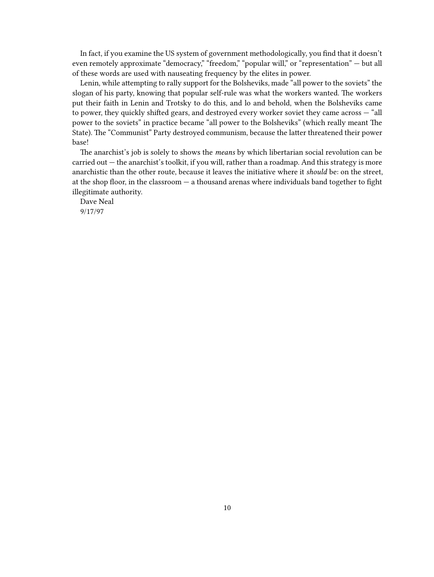In fact, if you examine the US system of government methodologically, you find that it doesn't even remotely approximate "democracy," "freedom," "popular will," or "representation" — but all of these words are used with nauseating frequency by the elites in power.

Lenin, while attempting to rally support for the Bolsheviks, made "all power to the soviets" the slogan of his party, knowing that popular self-rule was what the workers wanted. The workers put their faith in Lenin and Trotsky to do this, and lo and behold, when the Bolsheviks came to power, they quickly shifted gears, and destroyed every worker soviet they came across — "all power to the soviets" in practice became "all power to the Bolsheviks" (which really meant The State). The "Communist" Party destroyed communism, because the latter threatened their power base!

The anarchist's job is solely to shows the *means* by which libertarian social revolution can be carried out — the anarchist's toolkit, if you will, rather than a roadmap. And this strategy is more anarchistic than the other route, because it leaves the initiative where it *should* be: on the street, at the shop floor, in the classroom — a thousand arenas where individuals band together to fight illegitimate authority.

Dave Neal 9/17/97